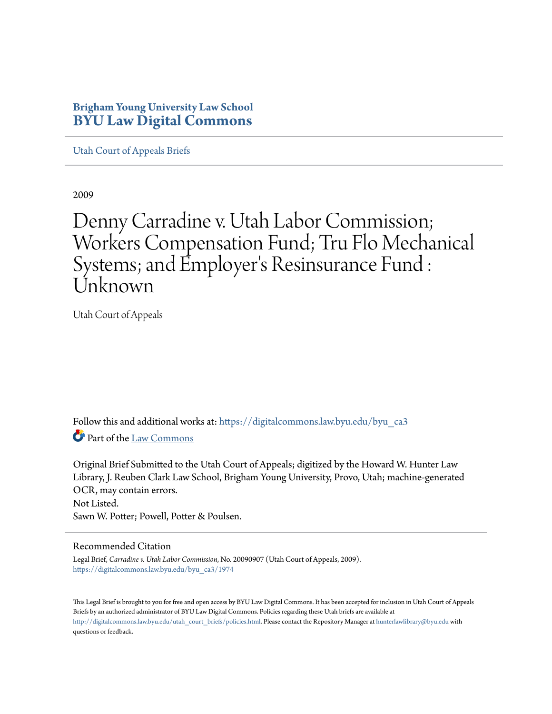## **Brigham Young University Law School [BYU Law Digital Commons](https://digitalcommons.law.byu.edu?utm_source=digitalcommons.law.byu.edu%2Fbyu_ca3%2F1974&utm_medium=PDF&utm_campaign=PDFCoverPages)**

[Utah Court of Appeals Briefs](https://digitalcommons.law.byu.edu/byu_ca3?utm_source=digitalcommons.law.byu.edu%2Fbyu_ca3%2F1974&utm_medium=PDF&utm_campaign=PDFCoverPages)

2009

# Denny Carradine v. Utah Labor Commission; Workers Compensation Fund; Tru Flo Mechanical Systems; and Employer 's Resinsurance Fund : Unknown

Utah Court of Appeals

Follow this and additional works at: [https://digitalcommons.law.byu.edu/byu\\_ca3](https://digitalcommons.law.byu.edu/byu_ca3?utm_source=digitalcommons.law.byu.edu%2Fbyu_ca3%2F1974&utm_medium=PDF&utm_campaign=PDFCoverPages) Part of the [Law Commons](http://network.bepress.com/hgg/discipline/578?utm_source=digitalcommons.law.byu.edu%2Fbyu_ca3%2F1974&utm_medium=PDF&utm_campaign=PDFCoverPages)

Original Brief Submitted to the Utah Court of Appeals; digitized by the Howard W. Hunter Law Library, J. Reuben Clark Law School, Brigham Young University, Provo, Utah; machine-generated OCR, may contain errors. Not Listed. Sawn W. Potter; Powell, Potter & Poulsen.

#### Recommended Citation

Legal Brief, *Carradine v. Utah Labor Commission*, No. 20090907 (Utah Court of Appeals, 2009). [https://digitalcommons.law.byu.edu/byu\\_ca3/1974](https://digitalcommons.law.byu.edu/byu_ca3/1974?utm_source=digitalcommons.law.byu.edu%2Fbyu_ca3%2F1974&utm_medium=PDF&utm_campaign=PDFCoverPages)

This Legal Brief is brought to you for free and open access by BYU Law Digital Commons. It has been accepted for inclusion in Utah Court of Appeals Briefs by an authorized administrator of BYU Law Digital Commons. Policies regarding these Utah briefs are available at [http://digitalcommons.law.byu.edu/utah\\_court\\_briefs/policies.html](http://digitalcommons.law.byu.edu/utah_court_briefs/policies.html). Please contact the Repository Manager at hunterlawlibrary@byu.edu with questions or feedback.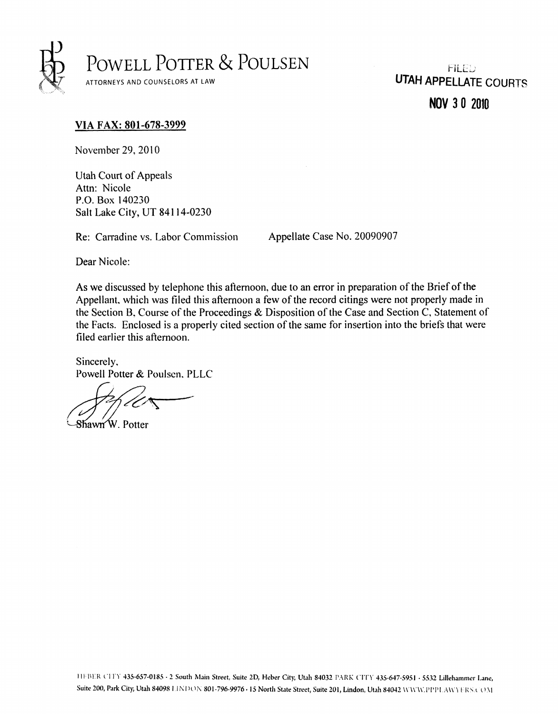

**NOV 3 0 2010** 

#### VIA FAX: 801-678-3999

November 29, 2010

Utah Court of Appeals P.O. Box 140230 P.O. DOA 140230<br>Polt Loke City, HT  $S$ alt Lake City, UT 84114-0230

Re: Carradine vs. Labor Commission Appellate Case No. 20090907

Dear Nicole:

As we discussed by telephone this afternoon, due to an error in preparation of the Brief of the Appellant, which was filed this afternoon a few of the record citings were not properly made in the Section B, Course of the Proceedings & Disposition of the Case and Section C, Statement of the Facts. Enclosed is a properly cited section of the same for insertion into the briefs that were filed earlier this afternoon.

Sincerely, Powell Potter & Poulsen, PLLC

Shawn W. Potter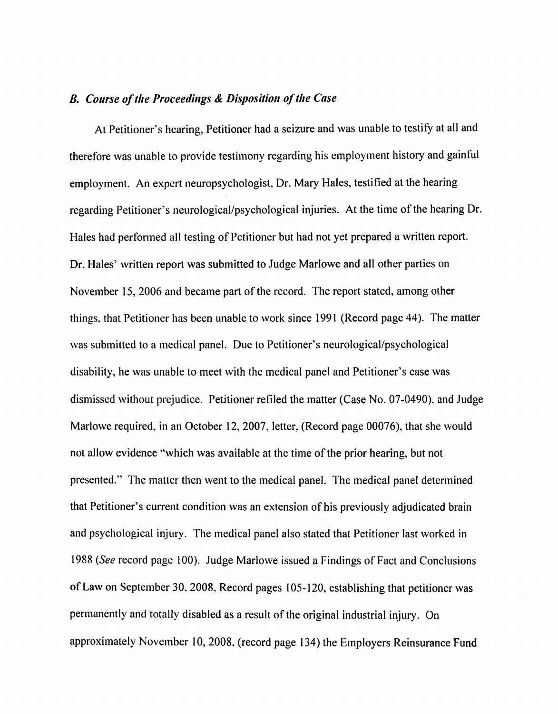### *B. Course of the Proceedings & Disposition of the Case*

At Petitioner's hearing. Petitioner had a seizure and was unable to testify at all and therefore was unable to provide testimony regarding his employment history and gainful employment. An expert neuropsychologist. Dr. Mary Hales, testified at the hearing regarding Petitioner's neurological/psychological injuries. At the time of the hearing Dr. Hales had performed all testing of Petitioner but had not yet prepared a written report. Dr. Hales' written report was submitted to Judge Marlowe and all other parties on November 15, 2006 and became part of the record. The report stated, among other things, that Petitioner has been unable to work since 1991 (Record page 44). The matter was submitted to a medical panel. Due to Petitioner's neurological/psychological disability, he was unable to meet with the medical panel and Petitioner's case was dismissed without prejudice. Petitioner refiled the matter (Case No. 07-0490), and Judge Marlowe required, in an October 12, 2007, letter, (Record page 00076), that she would not allow evidence "which was available at the time of the prior hearing, but not presented." The matter then went to the medical panel. The medical panel determined that Petitioner's current condition was an extension of his previously adjudicated brain and psychological injury. The medical panel also stated that Petitioner last worked in 1988 *(See* record page 100). Judge Marlowe issued a Findings of Fact and Conclusions of Law on September 30, 2008, Record pages 105-120, establishing that petitioner was permanently and totally disabled as a result of the original industrial injury. On approximately November 10,2008, (record page 134) the Employers Reinsurance Fund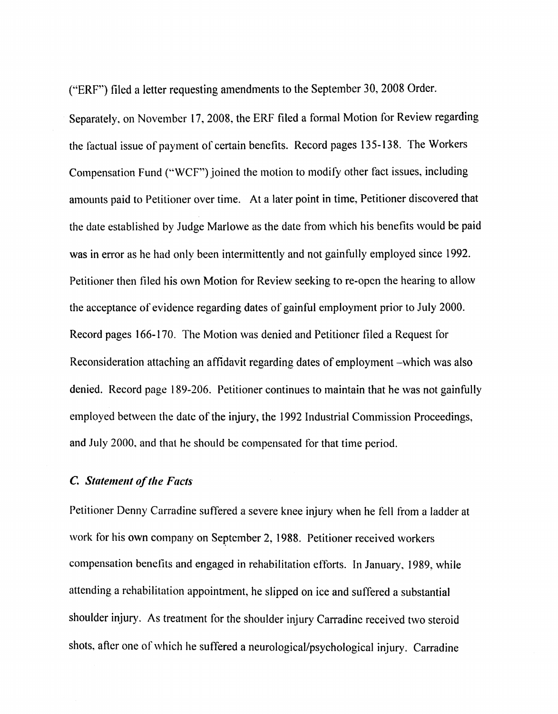("ERF") filed a letter requesting amendments to the September 30, 2008 Order,

Separately, on November 17, 2008, the ERF filed a formal Motion for Review regarding the tactual issue of payment of certain benefits. Record pages 135-138. The Workers Compensation Fund ("WCF") joined the motion to modify other fact issues, including amounts paid to Petitioner over time. At a later point in time, Petitioner discovered that the date established by Judge Marlowe as the date from which his benefits would be paid was in error as he had only been intermittently and not gainfully employed since 1992. Petitioner then filed his own Motion for Review seeking to re-open the hearing to allow the acceptance of evidence regarding dates of gainful employment prior to July 2000. Record pages 166-170. The Motion was denied and Petitioner filed a Request for Reconsideration attaching an affidavit regarding dates of employment -which was also denied. Record page 189-206, Petitioner continues to maintain that he was not gainfully employed between the date of the injury, the 1992 Industrial Commission Proceedings, and July 2000, and that he should be compensated for that time period.

#### *C. Statement of the Facts*

Petitioner Denny Carradine suffered a severe knee injury when he fell from a ladder at work for his own company on September 2, 1988. Petitioner received workers compensation benefits and engaged in rehabilitation efforts. In January, 1989, while attending a rehabilitation appointment, he slipped on ice and suffered a substantial shoulder injury. As treatment for the shoulder injury Carradine received two steroid shots, after one of which he suffered a neurological/psychological injury. Carradine